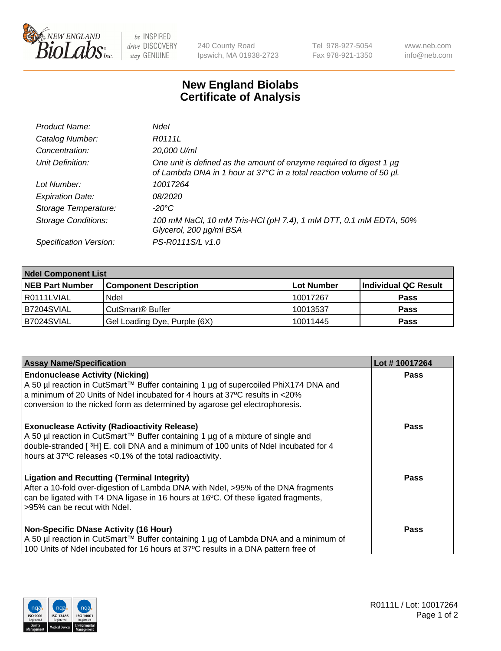

 $be$  INSPIRED drive DISCOVERY stay GENUINE

240 County Road Ipswich, MA 01938-2723 Tel 978-927-5054 Fax 978-921-1350 www.neb.com info@neb.com

## **New England Biolabs Certificate of Analysis**

| Product Name:           | Ndel                                                                                                                                             |
|-------------------------|--------------------------------------------------------------------------------------------------------------------------------------------------|
| Catalog Number:         | R0111L                                                                                                                                           |
| Concentration:          | 20,000 U/ml                                                                                                                                      |
| Unit Definition:        | One unit is defined as the amount of enzyme required to digest 1 $\mu$ g<br>of Lambda DNA in 1 hour at 37°C in a total reaction volume of 50 µl. |
| Lot Number:             | 10017264                                                                                                                                         |
| <b>Expiration Date:</b> | 08/2020                                                                                                                                          |
| Storage Temperature:    | -20°C                                                                                                                                            |
| Storage Conditions:     | 100 mM NaCl, 10 mM Tris-HCl (pH 7.4), 1 mM DTT, 0.1 mM EDTA, 50%<br>Glycerol, 200 µg/ml BSA                                                      |
| Specification Version:  | PS-R0111S/L v1.0                                                                                                                                 |

| <b>Ndel Component List</b> |                              |            |                      |  |  |
|----------------------------|------------------------------|------------|----------------------|--|--|
| <b>NEB Part Number</b>     | <b>Component Description</b> | Lot Number | Individual QC Result |  |  |
| I R0111LVIAL               | Ndel                         | 10017267   | <b>Pass</b>          |  |  |
| B7204SVIAL                 | CutSmart <sup>®</sup> Buffer | 10013537   | <b>Pass</b>          |  |  |
| B7024SVIAL                 | Gel Loading Dye, Purple (6X) | 10011445   | <b>Pass</b>          |  |  |

| <b>Assay Name/Specification</b>                                                                  | Lot #10017264 |
|--------------------------------------------------------------------------------------------------|---------------|
| <b>Endonuclease Activity (Nicking)</b>                                                           | <b>Pass</b>   |
| A 50 µl reaction in CutSmart™ Buffer containing 1 µg of supercoiled PhiX174 DNA and              |               |
| a minimum of 20 Units of Ndel incubated for 4 hours at 37°C results in <20%                      |               |
| conversion to the nicked form as determined by agarose gel electrophoresis.                      |               |
| <b>Exonuclease Activity (Radioactivity Release)</b>                                              | <b>Pass</b>   |
| A 50 µl reaction in CutSmart™ Buffer containing 1 µg of a mixture of single and                  |               |
| double-stranded [ <sup>3</sup> H] E. coli DNA and a minimum of 100 units of Ndel incubated for 4 |               |
| hours at 37°C releases <0.1% of the total radioactivity.                                         |               |
| <b>Ligation and Recutting (Terminal Integrity)</b>                                               | <b>Pass</b>   |
| After a 10-fold over-digestion of Lambda DNA with Ndel, >95% of the DNA fragments                |               |
| can be ligated with T4 DNA ligase in 16 hours at 16°C. Of these ligated fragments,               |               |
| >95% can be recut with Ndel.                                                                     |               |
|                                                                                                  |               |
| <b>Non-Specific DNase Activity (16 Hour)</b>                                                     | <b>Pass</b>   |
| A 50 µl reaction in CutSmart™ Buffer containing 1 µg of Lambda DNA and a minimum of              |               |
| 100 Units of Ndel incubated for 16 hours at 37°C results in a DNA pattern free of                |               |